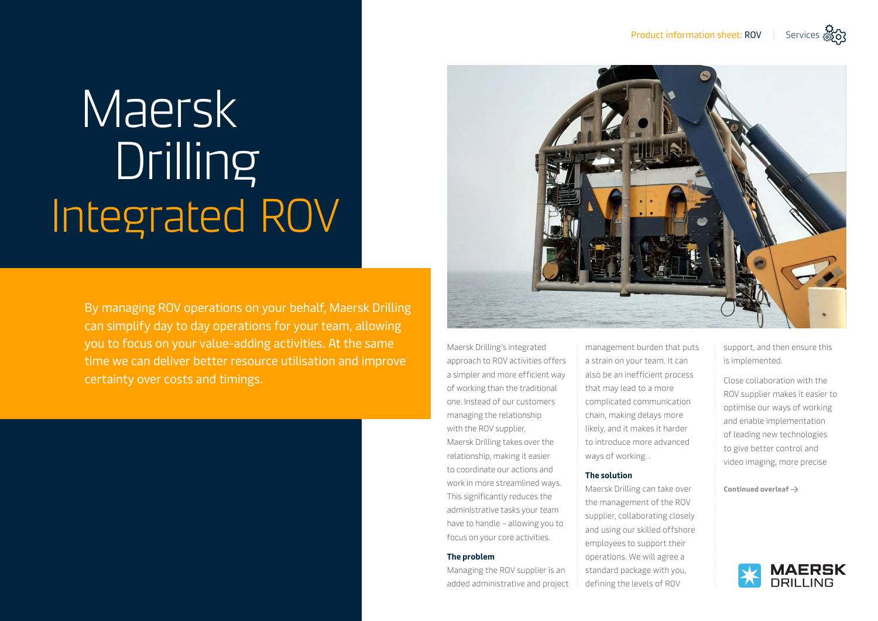# Maersk Drilling Integrated ROV

By managing ROV operations on your behalf, Maersk Drilling can simplify day to day operations for your team, allowing you to focus on your value-adding activities. At the same time we can deliver better resource utilisation and improve certainty over costs and timings.



Maersk Drilling's integrated approach to ROV activities offers a simpler and more efficient way of working than the traditional one. Instead of our customers managing the relationship with the ROV supplier, Maersk Drilling takes over the relationship, making it easier to coordinate our actions and work in more streamlined ways. This significantly reduces the administrative tasks your team have to handle – allowing you to focus on your core activities.

#### **The problem**

Managing the ROV supplier is an added administrative and project management burden that puts a strain on your team. It can also be an inefficient process that may lead to a more complicated communication chain, making delays more likely, and it makes it harder to introduce more advanced ways of working. .

#### **The solution**

Maersk Drilling can take over the management of the ROV supplier, collaborating closely and using our skilled offshore employees to support their operations. We will agree a standard package with you, defining the levels of ROV

support, and then ensure this is implemented.

Close collaboration with the ROV supplier makes it easier to optimise our ways of working and enable implementation of leading new technologies to give better control and video imaging, more precise

**Continued overleaf**